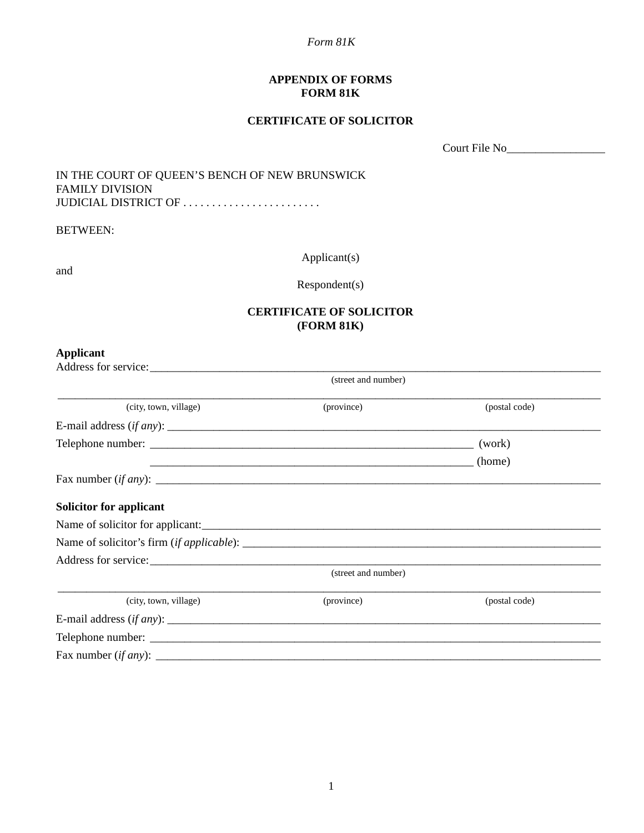*Form 81K*

#### **APPENDIX OF FORMS FORM 81K**

#### **CERTIFICATE OF SOLICITOR**

Court File No\_\_\_\_\_\_\_\_\_\_\_\_\_\_\_\_\_

### IN THE COURT OF QUEEN'S BENCH OF NEW BRUNSWICK FAMILY DIVISION JUDICIAL DISTRICT OF . . . . . . . . . . . . . . . . . . . . . . . .

BETWEEN:

and

Applicant(s)

Respondent(s)

## **CERTIFICATE OF SOLICITOR (FORM 81K)**

### **Applicant**

| Address for service:    |                     |               |
|-------------------------|---------------------|---------------|
|                         | (street and number) |               |
| (city, town, village)   | (province)          | (postal code) |
|                         |                     |               |
|                         |                     |               |
|                         |                     |               |
|                         |                     |               |
| Solicitor for applicant |                     |               |
|                         |                     |               |
|                         |                     |               |
|                         |                     |               |
|                         | (street and number) |               |
| (city, town, village)   | (province)          | (postal code) |
|                         |                     |               |
|                         |                     |               |
|                         |                     |               |